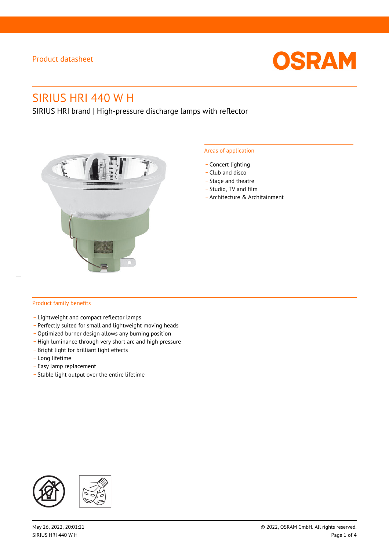

# SIRIUS HRI 440 W H

SIRIUS HRI brand | High-pressure discharge lamps with reflector



#### Areas of application

- Concert lighting
- \_ Club and disco
- Stage and theatre
- \_ Studio, TV and film
- \_ Architecture & Architainment

### Product family benefits

- \_ Lightweight and compact reflector lamps
- \_ Perfectly suited for small and lightweight moving heads
- Optimized burner design allows any burning position
- High luminance through very short arc and high pressure
- \_ Bright light for brilliant light effects
- \_ Long lifetime
- \_ Easy lamp replacement
- \_ Stable light output over the entire lifetime

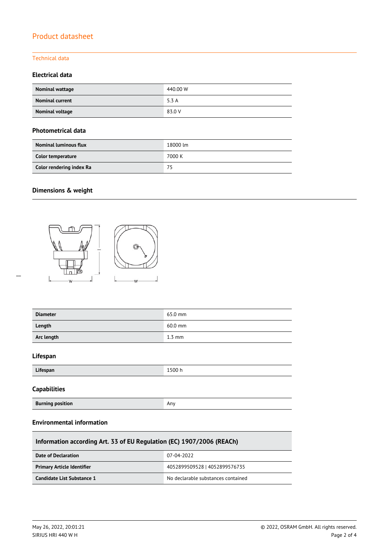### Technical data

### **Electrical data**

| Nominal wattage        | 440.00 W |
|------------------------|----------|
| <b>Nominal current</b> | 5.3 A    |
| Nominal voltage        | 83.0 V   |

### **Photometrical data**

| <b>Nominal luminous flux</b> | 18000 lm |
|------------------------------|----------|
| Color temperature            | 7000 K   |
| Color rendering index Ra     | 75       |

### **Dimensions & weight**

 $\overline{a}$ 



| <b>Diameter</b>         | 65.0 mm  |
|-------------------------|----------|
| Length                  | 60.0 mm  |
| Arc length              | $1.3$ mm |
| Lifespan                |          |
| Lifespan                | 1500 h   |
| <b>Capabilities</b>     |          |
| <b>Burning position</b> | Any      |
|                         |          |

### **Environmental information**

| Information according Art. 33 of EU Regulation (EC) 1907/2006 (REACh) |                                    |  |  |
|-----------------------------------------------------------------------|------------------------------------|--|--|
| Date of Declaration                                                   | 07-04-2022                         |  |  |
| <b>Primary Article Identifier</b>                                     | 4052899509528   4052899576735      |  |  |
| Candidate List Substance 1                                            | No declarable substances contained |  |  |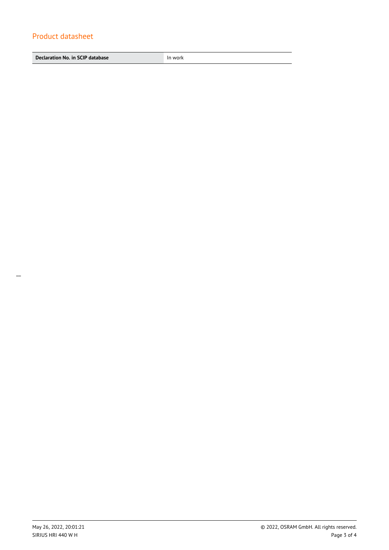**Declaration No. in SCIP database In work**